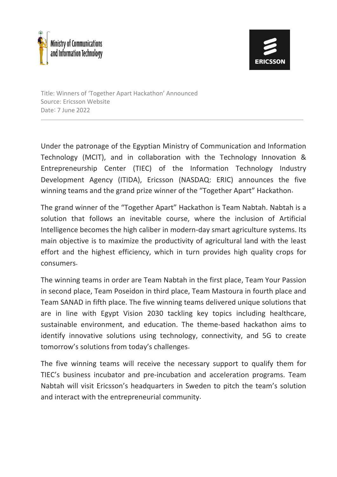

Title: Winners of 'Together Apart Hackathon' Announced Source: Ericsson Website Date: 7 June 2022

Under the patronage of the Egyptian Ministry of Communication and Information Technology (MCIT), and in collaboration with the Technology Innovation & Entrepreneurship Center (TIEC) of the Information Technology Industry Development Agency (ITIDA), Ericsson (NASDAQ: ERIC) announces the five winning teams and the grand prize winner of the "Together Apart" Hackathon.

The grand winner of the "Together Apart" Hackathon is Team Nabtah. Nabtah is a solution that follows an inevitable course, where the inclusion of Artificial Intelligence becomes the high caliber in modern-day smart agriculture systems. Its main objective is to maximize the productivity of agricultural land with the least effort and the highest efficiency, which in turn provides high quality crops for consumers.

The winning teams in order are Team Nabtah in the first place, Team Your Passion in second place, Team Poseidon in third place, Team Mastoura in fourth place and Team SANAD in fifth place. The five winning teams delivered unique solutions that are in line with Egypt Vision 2030 tackling key topics including healthcare, sustainable environment, and education. The theme-based hackathon aims to identify innovative solutions using technology, connectivity, and 5G to create tomorrow's solutions from today's challenges.

The five winning teams will receive the necessary support to qualify them for TIEC's business incubator and pre-incubation and acceleration programs. Team Nabtah will visit Ericsson's headquarters in Sweden to pitch the team's solution and interact with the entrepreneurial community.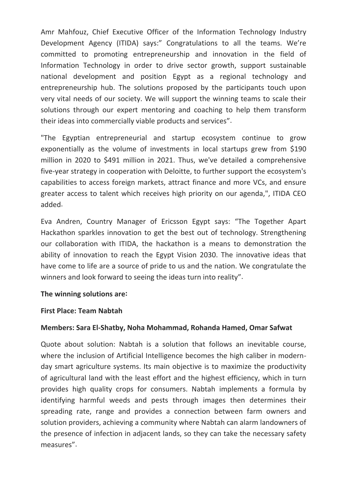Amr Mahfouz, Chief Executive Officer of the Information Technology Industry Development Agency (ITIDA) says:" Congratulations to all the teams. We're committed to promoting entrepreneurship and innovation in the field of Information Technology in order to drive sector growth, support sustainable national development and position Egypt as a regional technology and entrepreneurship hub. The solutions proposed by the participants touch upon very vital needs of our society. We will support the winning teams to scale their solutions through our expert mentoring and coaching to help them transform their ideas into commercially viable products and services".

"The Egyptian entrepreneurial and startup ecosystem continue to grow exponentially as the volume of investments in local startups grew from \$190 million in 2020 to \$491 million in 2021. Thus, we've detailed a comprehensive five-year strategy in cooperation with Deloitte, to further support the ecosystem's capabilities to access foreign markets, attract finance and more VCs, and ensure greater access to talent which receives high priority on our agenda,", ITIDA CEO added.

Eva Andren, Country Manager of Ericsson Egypt says: "The Together Apart Hackathon sparkles innovation to get the best out of technology. Strengthening our collaboration with ITIDA, the hackathon is a means to demonstration the ability of innovation to reach the Egypt Vision 2030. The innovative ideas that have come to life are a source of pride to us and the nation. We congratulate the winners and look forward to seeing the ideas turn into reality".

# **The winning solutions are:**

# **First Place: Team Nabtah**

# **Members: Sara El-Shatby, Noha Mohammad, Rohanda Hamed, Omar Safwat**

Quote about solution: Nabtah is a solution that follows an inevitable course, where the inclusion of Artificial Intelligence becomes the high caliber in modernday smart agriculture systems. Its main objective is to maximize the productivity of agricultural land with the least effort and the highest efficiency, which in turn provides high quality crops for consumers. Nabtah implements a formula by identifying harmful weeds and pests through images then determines their spreading rate, range and provides a connection between farm owners and solution providers, achieving a community where Nabtah can alarm landowners of the presence of infection in adjacent lands, so they can take the necessary safety measures".